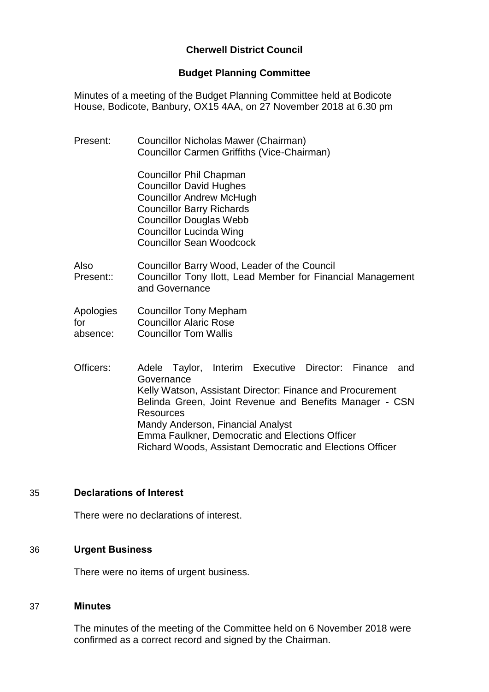# **Cherwell District Council**

#### **Budget Planning Committee**

Minutes of a meeting of the Budget Planning Committee held at Bodicote House, Bodicote, Banbury, OX15 4AA, on 27 November 2018 at 6.30 pm

Present: Councillor Nicholas Mawer (Chairman) Councillor Carmen Griffiths (Vice-Chairman) Councillor Phil Chapman Councillor David Hughes Councillor Andrew McHugh Councillor Barry Richards Councillor Douglas Webb Councillor Lucinda Wing Councillor Sean Woodcock Also Present:: Councillor Barry Wood, Leader of the Council Councillor Tony Ilott, Lead Member for Financial Management and Governance Apologies for absence: Councillor Tony Mepham Councillor Alaric Rose Councillor Tom Wallis Officers: Adele Taylor, Interim Executive Director: Finance and **Governance** Kelly Watson, Assistant Director: Finance and Procurement Belinda Green, Joint Revenue and Benefits Manager - CSN Resources Mandy Anderson, Financial Analyst Emma Faulkner, Democratic and Elections Officer

Richard Woods, Assistant Democratic and Elections Officer

## 35 **Declarations of Interest**

There were no declarations of interest.

#### 36 **Urgent Business**

There were no items of urgent business.

#### 37 **Minutes**

The minutes of the meeting of the Committee held on 6 November 2018 were confirmed as a correct record and signed by the Chairman.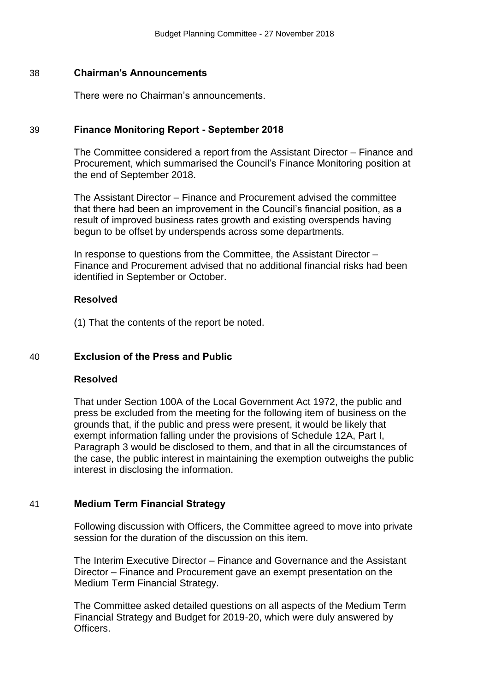#### 38 **Chairman's Announcements**

There were no Chairman's announcements.

### 39 **Finance Monitoring Report - September 2018**

The Committee considered a report from the Assistant Director – Finance and Procurement, which summarised the Council's Finance Monitoring position at the end of September 2018.

The Assistant Director – Finance and Procurement advised the committee that there had been an improvement in the Council's financial position, as a result of improved business rates growth and existing overspends having begun to be offset by underspends across some departments.

In response to questions from the Committee, the Assistant Director – Finance and Procurement advised that no additional financial risks had been identified in September or October.

#### **Resolved**

(1) That the contents of the report be noted.

#### 40 **Exclusion of the Press and Public**

#### **Resolved**

That under Section 100A of the Local Government Act 1972, the public and press be excluded from the meeting for the following item of business on the grounds that, if the public and press were present, it would be likely that exempt information falling under the provisions of Schedule 12A, Part I, Paragraph 3 would be disclosed to them, and that in all the circumstances of the case, the public interest in maintaining the exemption outweighs the public interest in disclosing the information.

## 41 **Medium Term Financial Strategy**

Following discussion with Officers, the Committee agreed to move into private session for the duration of the discussion on this item.

The Interim Executive Director – Finance and Governance and the Assistant Director – Finance and Procurement gave an exempt presentation on the Medium Term Financial Strategy.

The Committee asked detailed questions on all aspects of the Medium Term Financial Strategy and Budget for 2019-20, which were duly answered by Officers.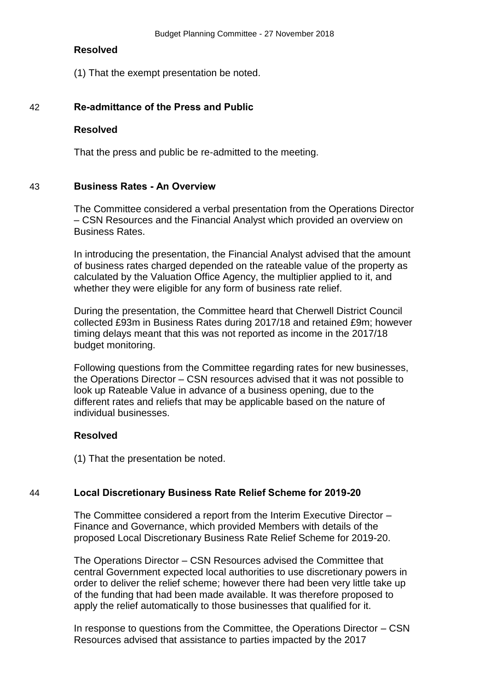#### **Resolved**

(1) That the exempt presentation be noted.

### 42 **Re-admittance of the Press and Public**

#### **Resolved**

That the press and public be re-admitted to the meeting.

## 43 **Business Rates - An Overview**

The Committee considered a verbal presentation from the Operations Director – CSN Resources and the Financial Analyst which provided an overview on Business Rates.

In introducing the presentation, the Financial Analyst advised that the amount of business rates charged depended on the rateable value of the property as calculated by the Valuation Office Agency, the multiplier applied to it, and whether they were eligible for any form of business rate relief.

During the presentation, the Committee heard that Cherwell District Council collected £93m in Business Rates during 2017/18 and retained £9m; however timing delays meant that this was not reported as income in the 2017/18 budget monitoring.

Following questions from the Committee regarding rates for new businesses, the Operations Director – CSN resources advised that it was not possible to look up Rateable Value in advance of a business opening, due to the different rates and reliefs that may be applicable based on the nature of individual businesses.

## **Resolved**

(1) That the presentation be noted.

## 44 **Local Discretionary Business Rate Relief Scheme for 2019-20**

The Committee considered a report from the Interim Executive Director – Finance and Governance, which provided Members with details of the proposed Local Discretionary Business Rate Relief Scheme for 2019-20.

The Operations Director – CSN Resources advised the Committee that central Government expected local authorities to use discretionary powers in order to deliver the relief scheme; however there had been very little take up of the funding that had been made available. It was therefore proposed to apply the relief automatically to those businesses that qualified for it.

In response to questions from the Committee, the Operations Director – CSN Resources advised that assistance to parties impacted by the 2017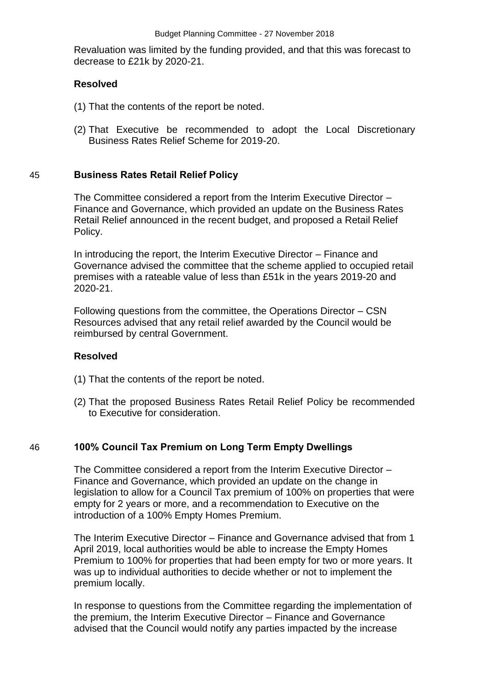Revaluation was limited by the funding provided, and that this was forecast to decrease to £21k by 2020-21.

## **Resolved**

- (1) That the contents of the report be noted.
- (2) That Executive be recommended to adopt the Local Discretionary Business Rates Relief Scheme for 2019-20.

## 45 **Business Rates Retail Relief Policy**

The Committee considered a report from the Interim Executive Director – Finance and Governance, which provided an update on the Business Rates Retail Relief announced in the recent budget, and proposed a Retail Relief Policy.

In introducing the report, the Interim Executive Director – Finance and Governance advised the committee that the scheme applied to occupied retail premises with a rateable value of less than £51k in the years 2019-20 and 2020-21.

Following questions from the committee, the Operations Director – CSN Resources advised that any retail relief awarded by the Council would be reimbursed by central Government.

## **Resolved**

- (1) That the contents of the report be noted.
- (2) That the proposed Business Rates Retail Relief Policy be recommended to Executive for consideration.

## 46 **100% Council Tax Premium on Long Term Empty Dwellings**

The Committee considered a report from the Interim Executive Director – Finance and Governance, which provided an update on the change in legislation to allow for a Council Tax premium of 100% on properties that were empty for 2 years or more, and a recommendation to Executive on the introduction of a 100% Empty Homes Premium.

The Interim Executive Director – Finance and Governance advised that from 1 April 2019, local authorities would be able to increase the Empty Homes Premium to 100% for properties that had been empty for two or more years. It was up to individual authorities to decide whether or not to implement the premium locally.

In response to questions from the Committee regarding the implementation of the premium, the Interim Executive Director – Finance and Governance advised that the Council would notify any parties impacted by the increase